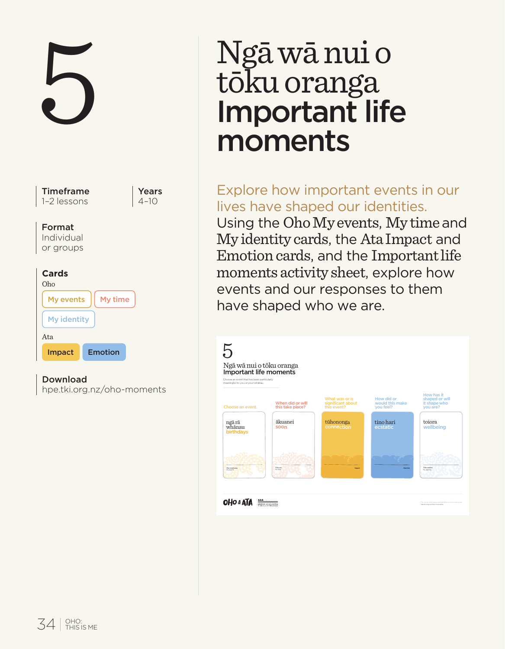

# $\begin{tabular}{l} \quad \quad & \quad \quad \text{Ngā wā nui o} \\ \text{toku oranga} \\ \text{important life} \\ \text{moments} \end{tabular}$ Ngā wā nui o<br>tōku oranga Important life moments

# Explore how important events in our lives have shaped our identities.

Using the Oho My events, My time and My identity cards, the Ata Impact and Emotion cards, and the Important life moments activity sheet, explore how events and our responses to them have shaped who we are.

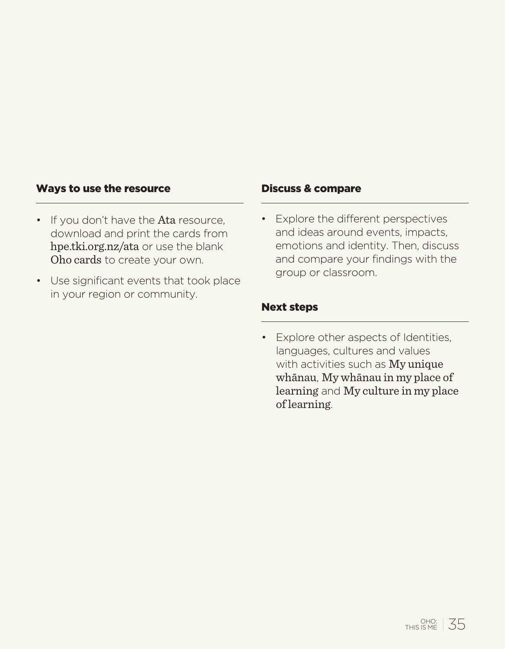#### Ways to use the resource

- If you don't have the Ata resource. download and print the cards from hpe.tki.org.nz/ata or use the blank Oho cards to create your own.
- Use significant events that took place in your region or community.

#### Discuss & compare

• Explore the different perspectives and ideas around events, impacts, emotions and identity. Then, discuss and compare your findings with the group or classroom.

#### Next steps

• Explore other aspects of Identities, languages, cultures and values with activities such as My unique whānau, My whānau in my place of learning and My culture in my place of learning.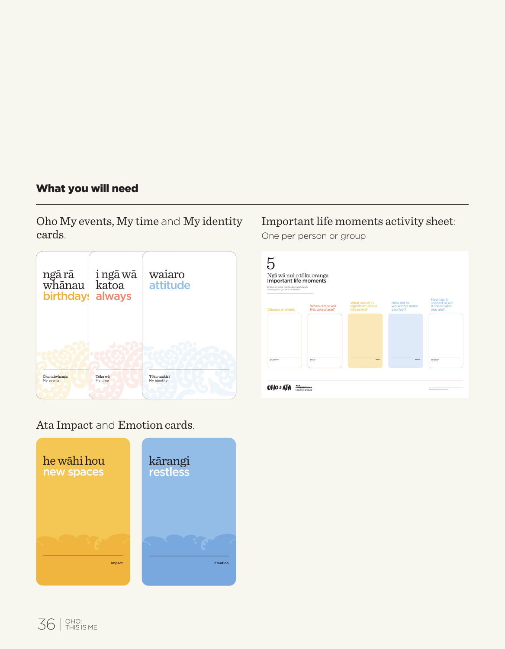# What you will need

Oho My events, My time and My identity cards.



# Important life moments activity sheet:

One per person or group



# Ata Impact and Emotion cards.